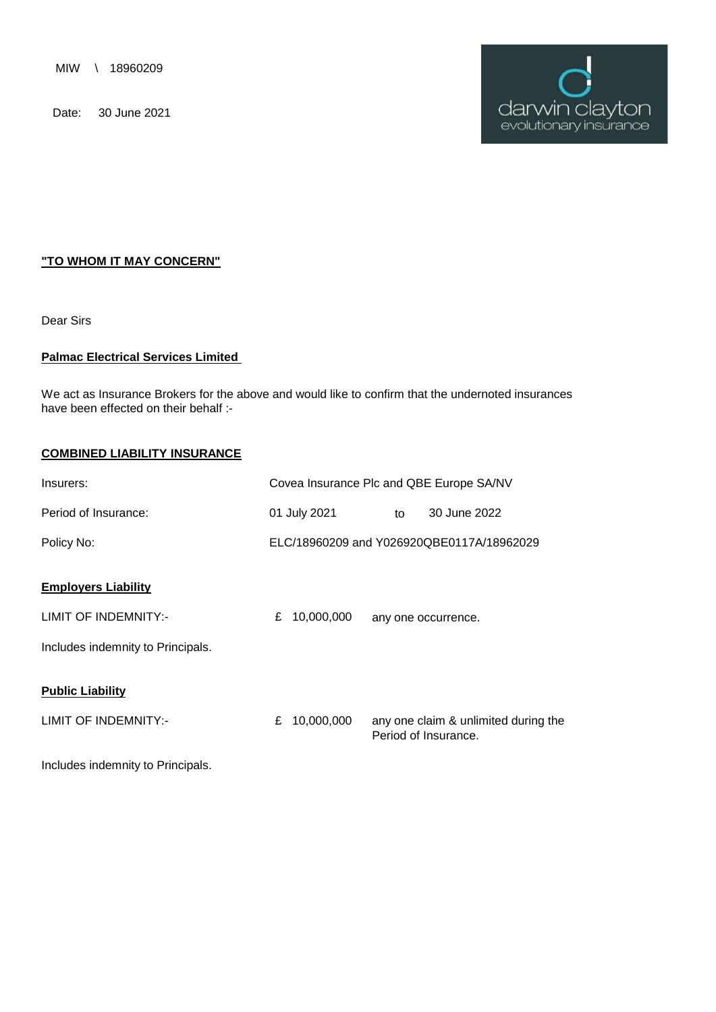MIW \ 18960209

Date: 30 June 2021



## **"TO WHOM IT MAY CONCERN"**

Dear Sirs

## **Palmac Electrical Services Limited**

We act as Insurance Brokers for the above and would like to confirm that the undernoted insurances have been effected on their behalf :-

## **COMBINED LIABILITY INSURANCE**

| Insurers:                         | Covea Insurance Plc and QBE Europe SA/NV |                                           |    |                                                              |
|-----------------------------------|------------------------------------------|-------------------------------------------|----|--------------------------------------------------------------|
| Period of Insurance:              |                                          | 01 July 2021                              | to | 30 June 2022                                                 |
| Policy No:                        |                                          | ELC/18960209 and Y026920QBE0117A/18962029 |    |                                                              |
| <b>Employers Liability</b>        |                                          |                                           |    |                                                              |
| LIMIT OF INDEMNITY:-              |                                          | £ $10,000,000$                            |    | any one occurrence.                                          |
| Includes indemnity to Principals. |                                          |                                           |    |                                                              |
| <b>Public Liability</b>           |                                          |                                           |    |                                                              |
| LIMIT OF INDEMNITY:-              |                                          | £ $10,000,000$                            |    | any one claim & unlimited during the<br>Period of Insurance. |
| Includes indemnity to Principals. |                                          |                                           |    |                                                              |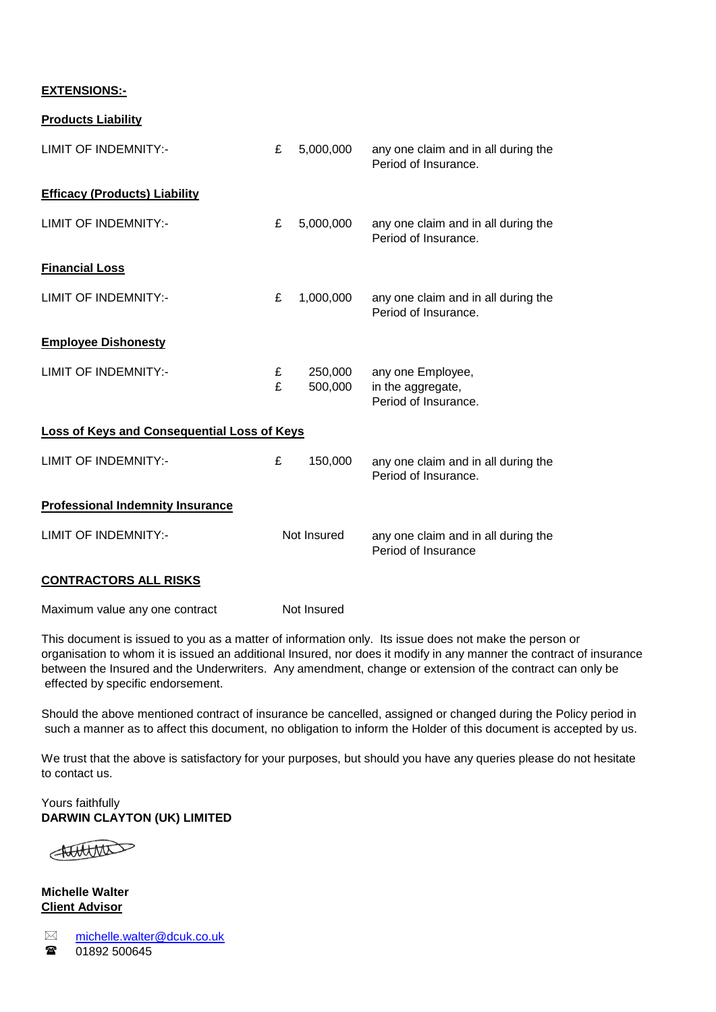## **EXTENSIONS:-**

**Products Liability**

| LIMIT OF INDEMNITY:-                               | £           | 5,000,000          | any one claim and in all during the<br>Period of Insurance.    |  |  |  |
|----------------------------------------------------|-------------|--------------------|----------------------------------------------------------------|--|--|--|
| <b>Efficacy (Products) Liability</b>               |             |                    |                                                                |  |  |  |
| <b>LIMIT OF INDEMNITY:-</b>                        | £           | 5,000,000          | any one claim and in all during the<br>Period of Insurance.    |  |  |  |
| <b>Financial Loss</b>                              |             |                    |                                                                |  |  |  |
| <b>LIMIT OF INDEMNITY:-</b>                        | £           | 1,000,000          | any one claim and in all during the<br>Period of Insurance.    |  |  |  |
| <b>Employee Dishonesty</b>                         |             |                    |                                                                |  |  |  |
| LIMIT OF INDEMNITY:-                               | £<br>£      | 250,000<br>500,000 | any one Employee,<br>in the aggregate,<br>Period of Insurance. |  |  |  |
| <b>Loss of Keys and Consequential Loss of Keys</b> |             |                    |                                                                |  |  |  |
| <b>LIMIT OF INDEMNITY:-</b>                        | £           | 150,000            | any one claim and in all during the<br>Period of Insurance.    |  |  |  |
| <b>Professional Indemnity Insurance</b>            |             |                    |                                                                |  |  |  |
| <b>LIMIT OF INDEMNITY:-</b>                        | Not Insured |                    | any one claim and in all during the<br>Period of Insurance     |  |  |  |
| <b>CONTRACTORS ALL RISKS</b>                       |             |                    |                                                                |  |  |  |
| Maximum value any one contract                     |             | Not Insured        |                                                                |  |  |  |

This document is issued to you as a matter of information only. Its issue does not make the person or organisation to whom it is issued an additional Insured, nor does it modify in any manner the contract of insurance between the Insured and the Underwriters. Any amendment, change or extension of the contract can only be effected by specific endorsement.

 such a manner as to affect this document, no obligation to inform the Holder of this document is accepted by us. Should the above mentioned contract of insurance be cancelled, assigned or changed during the Policy period in

We trust that the above is satisfactory for your purposes, but should you have any queries please do not hesitate to contact us.

**DARWIN CLAYTON (UK) LIMITED** Yours faithfully

Hotelton

**Michelle Walter Client Advisor**

 $\boxtimes$  $\mathbf{r}$ [m](mailto:michelle.walter@dcuk.co.uk)ichelle.walter@dcuk.co.uk 01892 500645